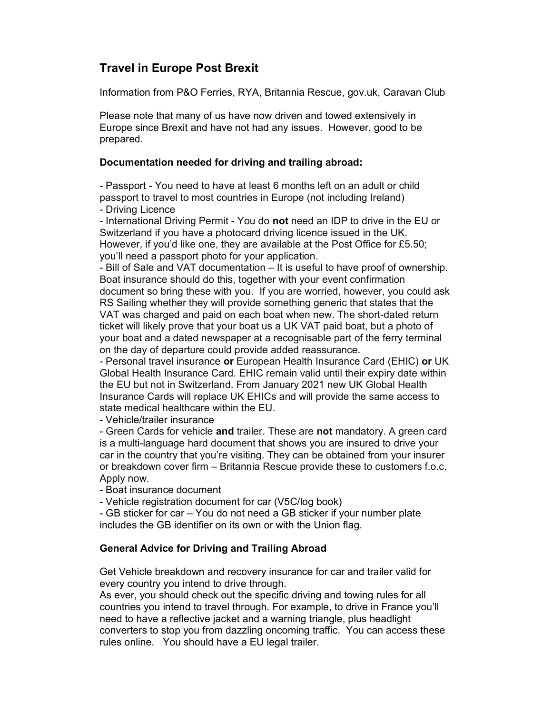## Travel in Europe Post Brexit

Information from P&O Ferries, RYA, Britannia Rescue, gov.uk, Caravan Club

Please note that many of us have now driven and towed extensively in Europe since Brexit and have not had any issues. However, good to be prepared.

## Documentation needed for driving and trailing abroad:

- Passport - You need to have at least 6 months left on an adult or child passport to travel to most countries in Europe (not including Ireland)

- Driving Licence

- International Driving Permit - You do not need an IDP to drive in the EU or Switzerland if you have a photocard driving licence issued in the UK. However, if you'd like one, they are available at the Post Office for £5.50; you'll need a passport photo for your application.

- Bill of Sale and VAT documentation – It is useful to have proof of ownership. Boat insurance should do this, together with your event confirmation document so bring these with you. If you are worried, however, you could ask RS Sailing whether they will provide something generic that states that the VAT was charged and paid on each boat when new. The short-dated return ticket will likely prove that your boat us a UK VAT paid boat, but a photo of your boat and a dated newspaper at a recognisable part of the ferry terminal on the day of departure could provide added reassurance.

- Personal travel insurance or European Health Insurance Card (EHIC) or UK Global Health Insurance Card. EHIC remain valid until their expiry date within the EU but not in Switzerland. From January 2021 new UK Global Health Insurance Cards will replace UK EHICs and will provide the same access to state medical healthcare within the EU.

- Vehicle/trailer insurance

- Green Cards for vehicle and trailer. These are not mandatory. A green card is a multi-language hard document that shows you are insured to drive your car in the country that you're visiting. They can be obtained from your insurer or breakdown cover firm – Britannia Rescue provide these to customers f.o.c. Apply now.

- Boat insurance document

- Vehicle registration document for car (V5C/log book)

- GB sticker for car – You do not need a GB sticker if your number plate includes the GB identifier on its own or with the Union flag.

## General Advice for Driving and Trailing Abroad

Get Vehicle breakdown and recovery insurance for car and trailer valid for every country you intend to drive through.

As ever, you should check out the specific driving and towing rules for all countries you intend to travel through. For example, to drive in France you'll need to have a reflective jacket and a warning triangle, plus headlight converters to stop you from dazzling oncoming traffic. You can access these rules online. You should have a EU legal trailer.